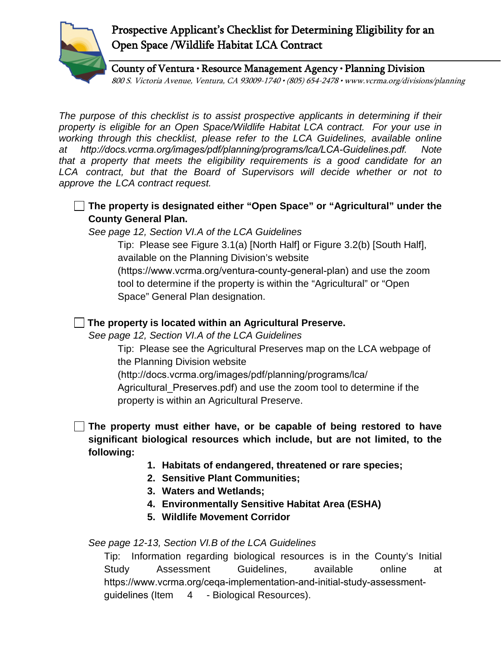

## Prospective Applicant's Checklist for Determining Eligibility for an Open Space /Wildlife Habitat LCA Contract

County of Ventura • Resource Management Agency • Planning Division 800 S. Victoria Avenue, Ventura, CA 93009-1740 • (805) 654-2478 • www.vcrma.org/divisions/planning

*The purpose of this checklist is to assist prospective applicants in determining if their property is eligible for an Open Space/Wildlife Habitat LCA contract. For your use in working through this checklist, please refer to the LCA Guidelines, available online at http://docs.vcrma.org/images/pdf/planning/programs/lca/LCA-Guidelines.pdf. Note that a property that meets the eligibility requirements is a good candidate for an*  LCA contract, but that the Board of Supervisors will decide whether or not to *approve the LCA contract request.* 

**The property is designated either "Open Space" or "Agricultural" under the County General Plan.**

*See page 12, Section VI.A of the LCA Guidelines*

Tip: Please see Figure 3.1(a) [North Half] or Figure 3.2(b) [South Half], available on the Planning Division's website (https://www.vcrma.org/ventura-county-general-plan) and use the zoom tool to determine if the property is within the "Agricultural" or "Open Space" General Plan designation.

## **The property is located within an Agricultural Preserve.**

*See page 12, Section VI.A of the LCA Guidelines*

Tip: Please see the Agricultural Preserves map on the LCA webpage of the Planning Division website

(http://docs.vcrma.org/images/pdf/planning/programs/lca/

Agricultural\_Preserves.pdf) and use the zoom tool to determine if the property is within an Agricultural Preserve.

**The property must either have, or be capable of being restored to have significant biological resources which include, but are not limited, to the following:**

- **1. Habitats of endangered, threatened or rare species;**
- **2. Sensitive Plant Communities;**
- **3. Waters and Wetlands;**
- **4. Environmentally Sensitive Habitat Area (ESHA)**
- **5. Wildlife Movement Corridor**

## *See page 12-13, Section VI.B of the LCA Guidelines*

Tip: Information regarding biological resources is in the County's Initial Study Assessment Guidelines, available online at htt[ps://www.vcrma.org/ceqa-implementation-and-initial-study-asses](http://www.ventura.org/rma/planning/pdf/ceqa/current_ISAG.pdf)smentguidelines (Item 4 - Biological Resources).